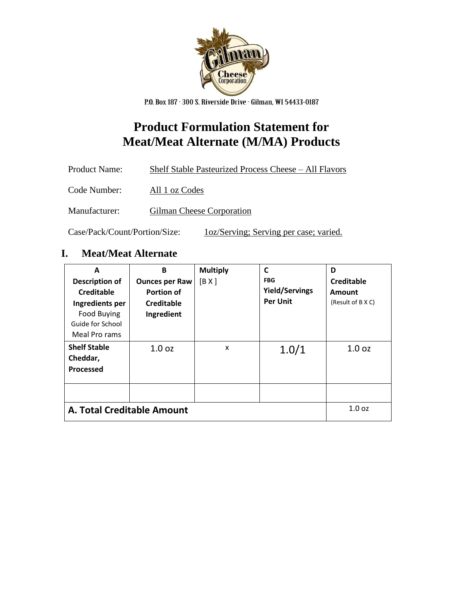

P.O. Box 187 · 300 S. Riverside Drive · Gilman, WI 54433-0187

## **Product Formulation Statement for Meat/Meat Alternate (M/MA) Products**

| <b>Product Name:</b> | Shelf Stable Pasteurized Process Cheese - All Flavors |
|----------------------|-------------------------------------------------------|
| Code Number:         | All 1 oz Codes                                        |
| Manufacturer:        | Gilman Cheese Corporation                             |

Case/Pack/Count/Portion/Size: 1oz/Serving; Serving per case; varied.

## **I. Meat/Meat Alternate**

| A<br><b>Description of</b><br><b>Creditable</b><br>Ingredients per<br><b>Food Buying</b><br>Guide for School<br>Meal Pro rams | B<br><b>Ounces per Raw</b><br><b>Portion of</b><br><b>Creditable</b><br>Ingredient | <b>Multiply</b><br>[B X] | C<br><b>FBG</b><br><b>Yield/Servings</b><br><b>Per Unit</b> | D<br>Creditable<br>Amount<br>(Result of B X C) |
|-------------------------------------------------------------------------------------------------------------------------------|------------------------------------------------------------------------------------|--------------------------|-------------------------------------------------------------|------------------------------------------------|
| <b>Shelf Stable</b><br>Cheddar,<br><b>Processed</b>                                                                           | 1.0 <sub>oz</sub>                                                                  | X                        | 1.0/1                                                       | 1.0 <sub>oz</sub>                              |
|                                                                                                                               |                                                                                    |                          |                                                             |                                                |
| A. Total Creditable Amount                                                                                                    |                                                                                    |                          |                                                             | 1.0 <sub>oz</sub>                              |